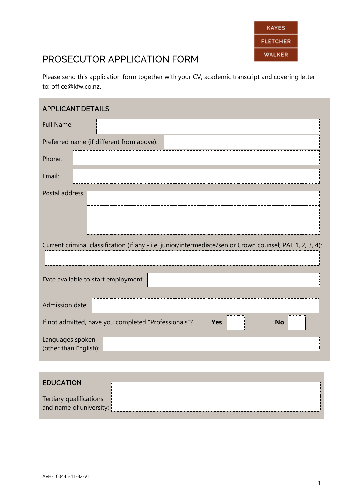

Please send this application form together with your CV, academic transcript and covering letter to: office@kfw.co.nz**.**

| <b>APPLICANT DETAILS</b>                                                                                  |
|-----------------------------------------------------------------------------------------------------------|
| Full Name:                                                                                                |
| Preferred name (if different from above):                                                                 |
| Phone:                                                                                                    |
| Email:                                                                                                    |
| Postal address:                                                                                           |
| Current criminal classification (if any - i.e. junior/intermediate/senior Crown counsel; PAL 1, 2, 3, 4): |
| Date available to start employment:                                                                       |
| Admission date:                                                                                           |
| If not admitted, have you completed "Professionals"?<br><b>No</b><br><b>Yes</b>                           |
| Languages spoken<br>(other than English):                                                                 |
|                                                                                                           |

| <b>EDUCATION</b>                                   |  |
|----------------------------------------------------|--|
| Tertiary qualifications<br>and name of university: |  |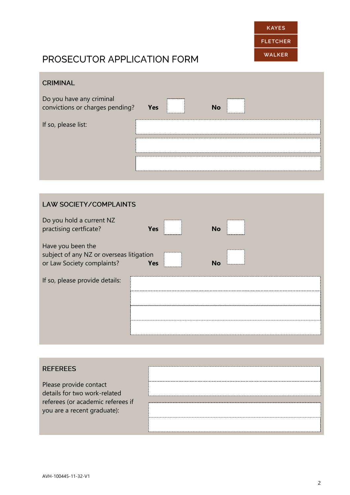

#### **CRIMINAL**

| Do you have any criminal        |     |                               |    |
|---------------------------------|-----|-------------------------------|----|
| convictions or charges pending? | Yes | ----------------------------- | No |

If so, please list:

| Yes | ,,,,,,,,,,,,,,,,,,,,,,,,,,,,,,,<br><u> โมมมนมนมนมนมนมนมนมน</u> |  |
|-----|----------------------------------------------------------------|--|
|     |                                                                |  |
|     |                                                                |  |

# **LAW SOCIETY/COMPLAINTS** Do you hold a current NZ practising certficate? **Yes No** Have you been the subject of any NZ or overseas litigation or Law Society complaints? **Yes No** If so, please provide details:

| <b>REFEREES</b>                                                                                                            |  |
|----------------------------------------------------------------------------------------------------------------------------|--|
| Please provide contact<br>details for two work-related<br>referees (or academic referees if<br>you are a recent graduate): |  |
|                                                                                                                            |  |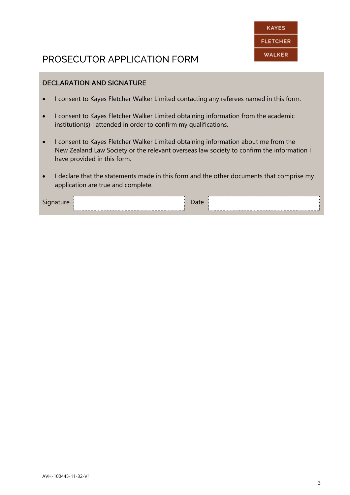

#### **DECLARATION AND SIGNATURE**

- I consent to Kayes Fletcher Walker Limited contacting any referees named in this form.
- I consent to Kayes Fletcher Walker Limited obtaining information from the academic institution(s) I attended in order to confirm my qualifications.
- I consent to Kayes Fletcher Walker Limited obtaining information about me from the New Zealand Law Society or the relevant overseas law society to confirm the information I have provided in this form.
- I declare that the statements made in this form and the other documents that comprise my application are true and complete.

| $\overline{\phantom{0}}$ |  |  |
|--------------------------|--|--|
|                          |  |  |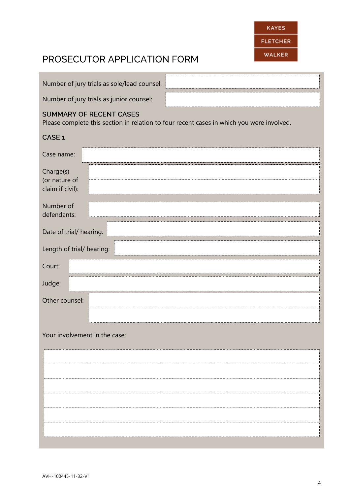|                                                | Please complete this section in relation to four recent cases in which you were involved. |
|------------------------------------------------|-------------------------------------------------------------------------------------------|
| CASE <sub>1</sub>                              |                                                                                           |
| Case name:                                     |                                                                                           |
| Charge(s)<br>(or nature of<br>claim if civil): |                                                                                           |
| Number of<br>defendants:                       |                                                                                           |
| Date of trial/ hearing:                        |                                                                                           |
| Length of trial/ hearing:                      |                                                                                           |
| Court:                                         |                                                                                           |
| Judge:                                         |                                                                                           |
| Other counsel:                                 |                                                                                           |
|                                                |                                                                                           |
| Your involvement in the case:                  |                                                                                           |
|                                                |                                                                                           |
|                                                |                                                                                           |
|                                                |                                                                                           |
|                                                |                                                                                           |
|                                                |                                                                                           |
|                                                |                                                                                           |

Number of jury trials as sole/lead counsel:

Number of jury trials as junior counsel:

#### **SUMMARY OF RECENT CASES**

Please complete this section in relation to four recent cases in which you were involved.

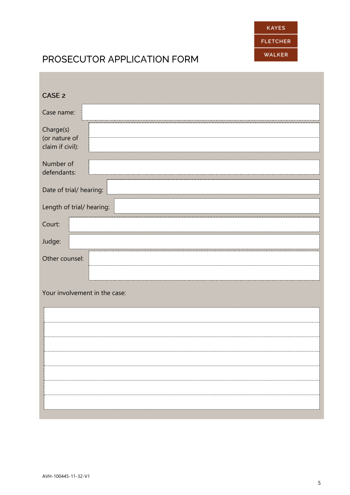

| CASE <sub>2</sub>                              |
|------------------------------------------------|
| Case name:                                     |
| Charge(s)<br>(or nature of<br>claim if civil): |
| Number of<br>defendants:                       |
| Date of trial/ hearing:                        |
| Length of trial/ hearing:                      |
| Court:                                         |
| Judge:                                         |
| Other counsel:                                 |
|                                                |
| Your involvement in the case:                  |
|                                                |
|                                                |
|                                                |
|                                                |
|                                                |
|                                                |
|                                                |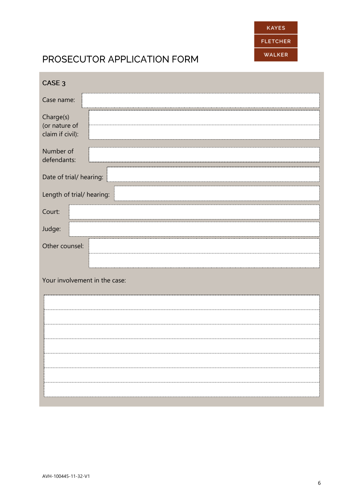

| CASE <sub>3</sub>                              |  |
|------------------------------------------------|--|
| Case name:                                     |  |
| Charge(s)<br>(or nature of<br>claim if civil): |  |
| Number of<br>defendants:                       |  |
| Date of trial/ hearing:                        |  |
| Length of trial/ hearing:                      |  |
| Court:                                         |  |
| Judge:                                         |  |
| Other counsel:                                 |  |
|                                                |  |
| Your involvement in the case:                  |  |
|                                                |  |
|                                                |  |
|                                                |  |
|                                                |  |
|                                                |  |
|                                                |  |
|                                                |  |